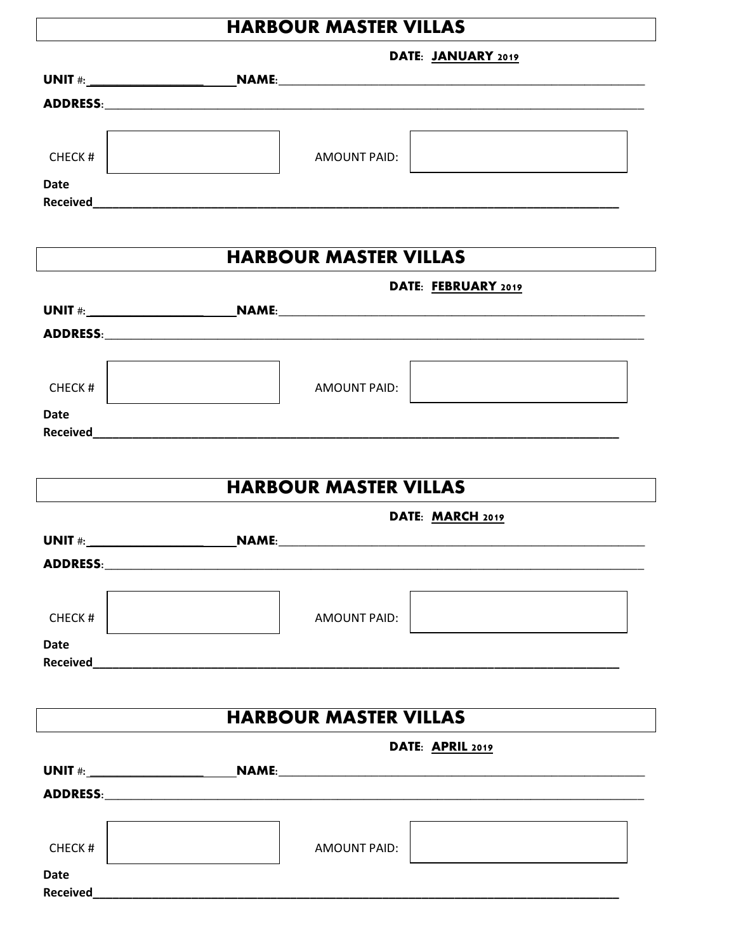## **HARBOUR MASTER VILLAS**

ヿ

| AMOUNT PAID:                 | the control of the control of the control of the control of                                          |
|------------------------------|------------------------------------------------------------------------------------------------------|
|                              |                                                                                                      |
|                              |                                                                                                      |
|                              |                                                                                                      |
| <b>HARBOUR MASTER VILLAS</b> |                                                                                                      |
|                              |                                                                                                      |
|                              |                                                                                                      |
|                              |                                                                                                      |
|                              |                                                                                                      |
|                              |                                                                                                      |
|                              |                                                                                                      |
|                              |                                                                                                      |
|                              |                                                                                                      |
|                              |                                                                                                      |
| <b>HARBOUR MASTER VILLAS</b> |                                                                                                      |
|                              |                                                                                                      |
|                              |                                                                                                      |
|                              |                                                                                                      |
|                              |                                                                                                      |
|                              |                                                                                                      |
|                              |                                                                                                      |
|                              |                                                                                                      |
|                              |                                                                                                      |
|                              |                                                                                                      |
| <b>HARBOUR MASTER VILLAS</b> |                                                                                                      |
| DATE: APRIL 2019             |                                                                                                      |
|                              |                                                                                                      |
|                              |                                                                                                      |
|                              | DATE: JANUARY 2019<br>DATE: FEBRUARY 2019<br>AMOUNT PAID:<br>DATE: MARCH 2019<br><b>AMOUNT PAID:</b> |

| CHECK#                         | <b>AMOUNT PAID:</b> |  |
|--------------------------------|---------------------|--|
| <b>Date</b><br><b>Received</b> |                     |  |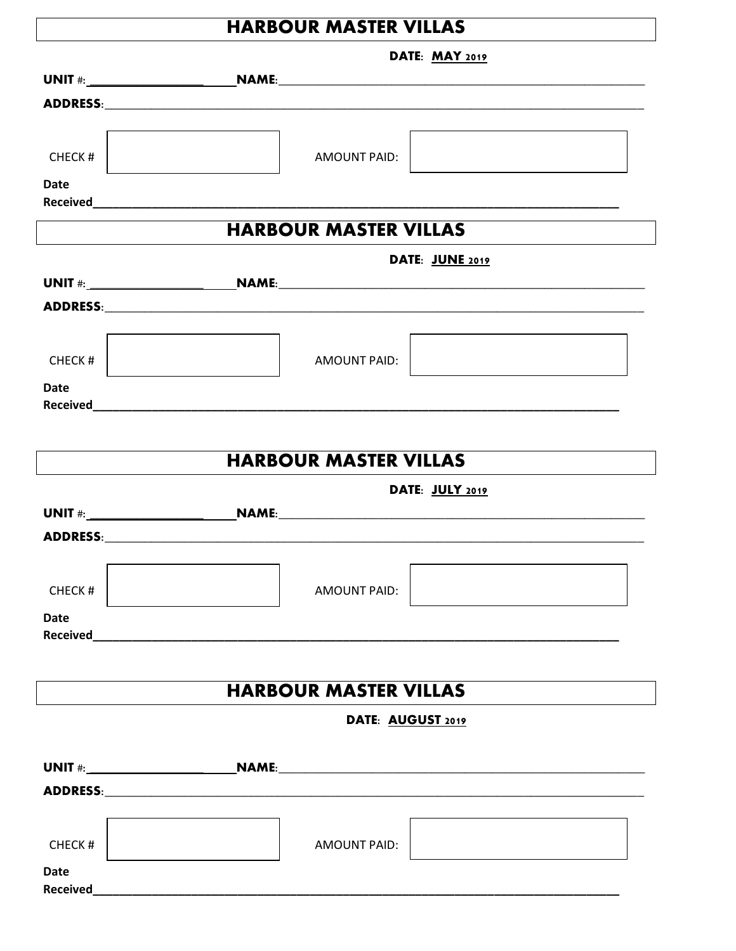## **HARBOUR MASTER VILLAS**

DATE. MAY 2010

|                    | <b>DAIE: MAT 2019</b>                  |  |
|--------------------|----------------------------------------|--|
|                    |                                        |  |
|                    |                                        |  |
|                    |                                        |  |
|                    |                                        |  |
| CHECK <sup>#</sup> | AMOUNT PAID:                           |  |
| Date               |                                        |  |
|                    |                                        |  |
|                    | <b>HARBOUR MASTER VILLAS</b>           |  |
|                    |                                        |  |
|                    | DATE: JUNE 2019                        |  |
|                    |                                        |  |
|                    |                                        |  |
|                    |                                        |  |
|                    |                                        |  |
| CHECK#             | <b>AMOUNT PAID:</b>                    |  |
| <b>Date</b>        |                                        |  |
|                    |                                        |  |
|                    |                                        |  |
|                    | <b>HARBOUR MASTER VILLAS</b>           |  |
|                    |                                        |  |
|                    | DATE: JULY 2019                        |  |
|                    |                                        |  |
|                    |                                        |  |
|                    |                                        |  |
|                    |                                        |  |
| CHECK#             | <b>AMOUNT PAID:</b>                    |  |
| <b>Date</b>        |                                        |  |
|                    | Received <b>Executive Section 2008</b> |  |
|                    |                                        |  |
|                    | <b>HARBOUR MASTER VILLAS</b>           |  |
|                    |                                        |  |
|                    | DATE: AUGUST 2019                      |  |
|                    |                                        |  |
|                    |                                        |  |
|                    |                                        |  |
|                    |                                        |  |
|                    |                                        |  |
| CHECK#             | <b>AMOUNT PAID:</b>                    |  |
| <b>Date</b>        |                                        |  |
|                    |                                        |  |